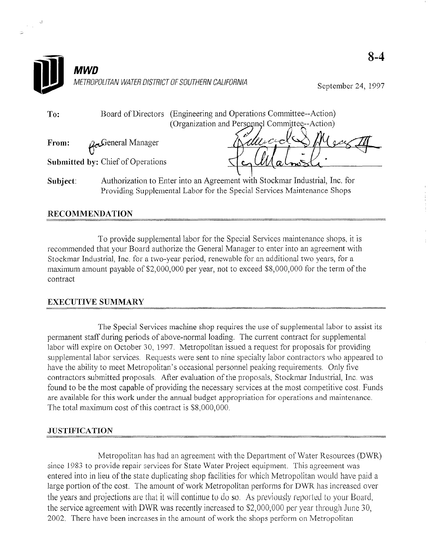|          | MWD                                                                                                                                                    |                    |
|----------|--------------------------------------------------------------------------------------------------------------------------------------------------------|--------------------|
|          | METROPOLITAN WATER DISTRICT OF SOUTHERN CALIFORNIA                                                                                                     | September 24, 1997 |
| To:      | (Engineering and Operations Committee--Action)<br>Board of Directors<br>(Organization and Personnel Committee--Action)                                 |                    |
| From:    | Mucro<br>General Managerر                                                                                                                              |                    |
|          | Submitted by: Chief of Operations                                                                                                                      |                    |
| Subject: | Authorization to Enter into an Agreement with Stockmar Industrial, Inc. for<br>Providing Supplemental Labor for the Special Services Maintenance Shops |                    |

#### RECOMMENDATION

 $\frac{1}{\sqrt{2}}$  ,  $\frac{d}{d}$ 

To provide supplemental labor for the Special Services maintenance shops, it is recommended that your Board authorize the General Manager to enter into an agreement with Stockmar Industrial, Inc. for a two-year period, renewable for an additional two years, for a maximum amount payable of \$2,000,000 per year, not to exceed \$S,OOO,OOO for the term of the contract

# EXECUTIVE SUMMARV

The Special Services machine shop requires the use of supplemental labor to assist its interval labor to assist its interval labor to assist its interval labor to assist its interval labor to assist its interval labor to permanent states machine shop requires the use of supplemental labor to ass permanent staff during periods of above-normal loading. The current contract for supplemental labor will expire on October 30, 1997. Metropolitan issued a request for proposals for providing supplemental labor services. Requests were sent to nine specialty labor contractors who appeared to have the ability to meet Metropolitan's occasional personnel peaking requirements. Only five contractors submitted proposals. After evaluation of the proposals, Stockmar Industrial, Inc. was found to be the most capable of providing the necessary services at the most competitive cost. Funds are available for this work under the annual budget appropriation for operations and maintenance.<br>The total maximum cost of this contract is \$8,000,000.

#### **JUSTIFICATION**

Metropolitan has had an agreement with the Department of Water Resources (DWR) since 1983 to provide repair services for State Water Project equipment. This agreement was entered into in lieu of the state duplicating shop facilities for which Metropolitan would have paid a large portion of the cost. The amount of work Metropolitan performs for DWR has increased over the years and projections are that it will continue to do so. As previously reported to your Board, the service agreement with DWR was recently increased to \$2,000,000 per year through June 30. 2002. There have been increases in the amount of work the shops perform on Metropolitan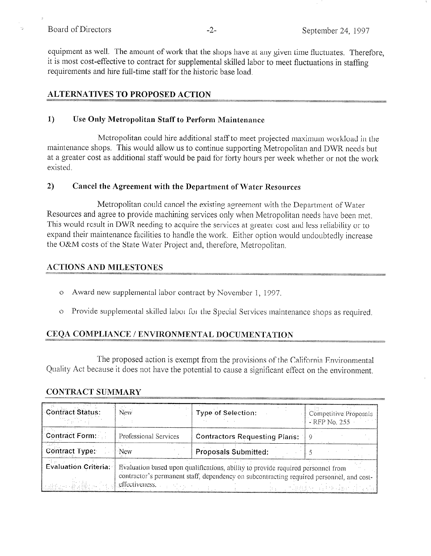#### Board of Directors -2- September 24, 1997

-.-----..-

equipment as well. The amount of work that the shops have at any given time fluctuates. Therefore, it is most cost-effective to contract for supplemental skilled labor to meet fluctuations in staffing requirements and hire till-time staff for the historic base load.

# ALTERNATIVES TO PROPOSED ACTION

### 1) Use Only Metropolitan Staff to Perform Maintenance

Metropolitan could hire additional staff to meet projected maximum workload in the maintenance shops. This would allow us to continue supporting Metropolitan and DWR needs but at a greater cost as additional staff would be paid for forty hours per week whether or not the work existed.

## 2) Cancel the Agreement with the Department of Water Resources

Metropolitan could cancel the existing agreement with the Department of Water Resources and agree to provide machining services only when Metropolitan needs have been met. This would result in DWR needing to acquire the services at greater cost and less reliability or to expand their maintenance facilities to handle the work. Either option would undoubtedly increase the O&M costs of the State Water Project and, therefore, Metropolitan.

## ACTIONS AND MILESTONES

- o Award new supplemental labor contract by November 1, 1997.
- o Provide supplemental skilled labor for the Special Services maintenance shops as required

# CEQA COMPLIANCE / ENVIRONMENTAL DOCUMENTATION

The proposed action is exempt from the provisions of the California Environmental Quality Act because it does not have the potential to cause a significant effect on the environment.

## $\bf{CONTRACT~SUMMARY}$

| <b>Contract Status:</b>                                                                                                                                                                                                       | New                   | Type of Selection:                   | Competitive Proposals<br>- RFP No. 255 |
|-------------------------------------------------------------------------------------------------------------------------------------------------------------------------------------------------------------------------------|-----------------------|--------------------------------------|----------------------------------------|
| <b>Contract Form:</b>                                                                                                                                                                                                         | Professional Services | <b>Contractors Requesting Plans:</b> |                                        |
| Contract Type:                                                                                                                                                                                                                | <b>New</b>            | Proposals Submitted:                 |                                        |
| <b>Evaluation Criteria:</b><br>Evaluation based upon qualifications, ability to provide required personnel from<br>contractor's permanent staff, dependency on subcontracting required personnel, and cost-<br>effectiveness. |                       |                                      |                                        |